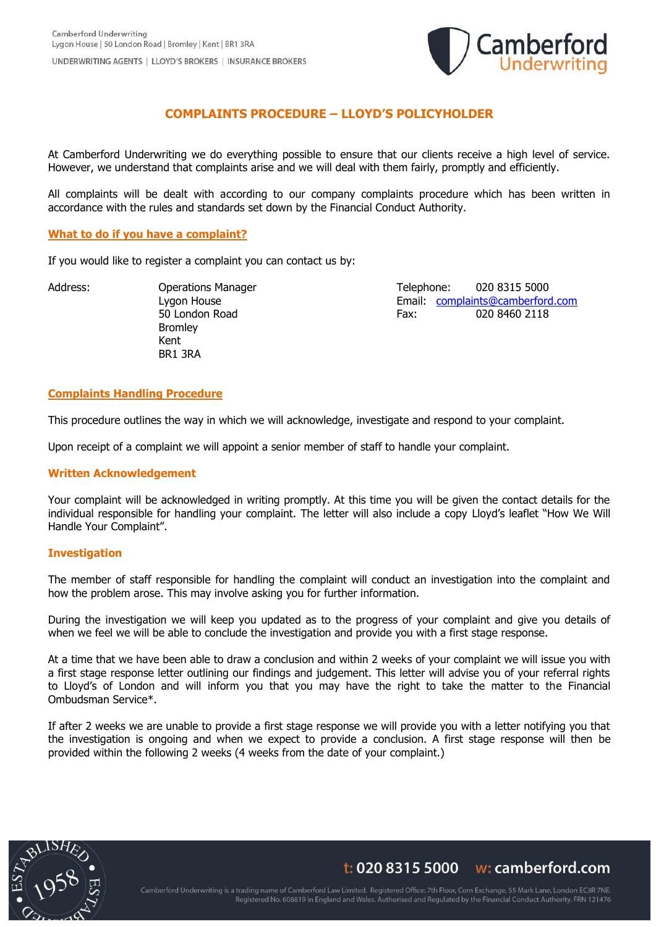

## **COMPLAINTS PROCEDURE – LLOYD'S POLICYHOLDER**

At Camberford Underwriting we do everything possible to ensure that our clients receive a high level of service. However, we understand that complaints arise and we will deal with them fairly, promptly and efficiently.

All complaints will be dealt with according to our company complaints procedure which has been written in accordance with the rules and standards set down by the Financial Conduct Authority.

### **What to do if you have a complaint?**

If you would like to register a complaint you can contact us by:

Bromley Kent BR1 3RA

Address: Cherations Manager Telephone: 020 8315 5000 Lygon House **Email:** [complaints@camberford.com](mailto:complaints@camberford.com) 50 London Road Fax: 020 8460 2118

## **Complaints Handling Procedure**

This procedure outlines the way in which we will acknowledge, investigate and respond to your complaint.

Upon receipt of a complaint we will appoint a senior member of staff to handle your complaint.

#### **Written Acknowledgement**

Your complaint will be acknowledged in writing promptly. At this time you will be given the contact details for the individual responsible for handling your complaint. The letter will also include a copy Lloyd's leaflet "How We Will Handle Your Complaint".

#### **Investigation**

The member of staff responsible for handling the complaint will conduct an investigation into the complaint and how the problem arose. This may involve asking you for further information.

During the investigation we will keep you updated as to the progress of your complaint and give you details of when we feel we will be able to conclude the investigation and provide you with a first stage response.

At a time that we have been able to draw a conclusion and within 2 weeks of your complaint we will issue you with a first stage response letter outlining our findings and judgement. This letter will advise you of your referral rights to Lloyd's of London and will inform you that you may have the right to take the matter to the Financial Ombudsman Service\*.

If after 2 weeks we are unable to provide a first stage response we will provide you with a letter notifying you that the investigation is ongoing and when we expect to provide a conclusion. A first stage response will then be provided within the following 2 weeks (4 weeks from the date of your complaint.)



# t: 020 8315 5000 w: camberford.com

Camberford Underwriting is a trading name of Camberford Law Limited. Registered Office: 7th Floor, Corn Exchange, 55 Mark Lane, London EC3R 7NE. Registered No. 608819 in England and Wales. Authorised and Regulated by the Financial Conduct Authority. FRN 121476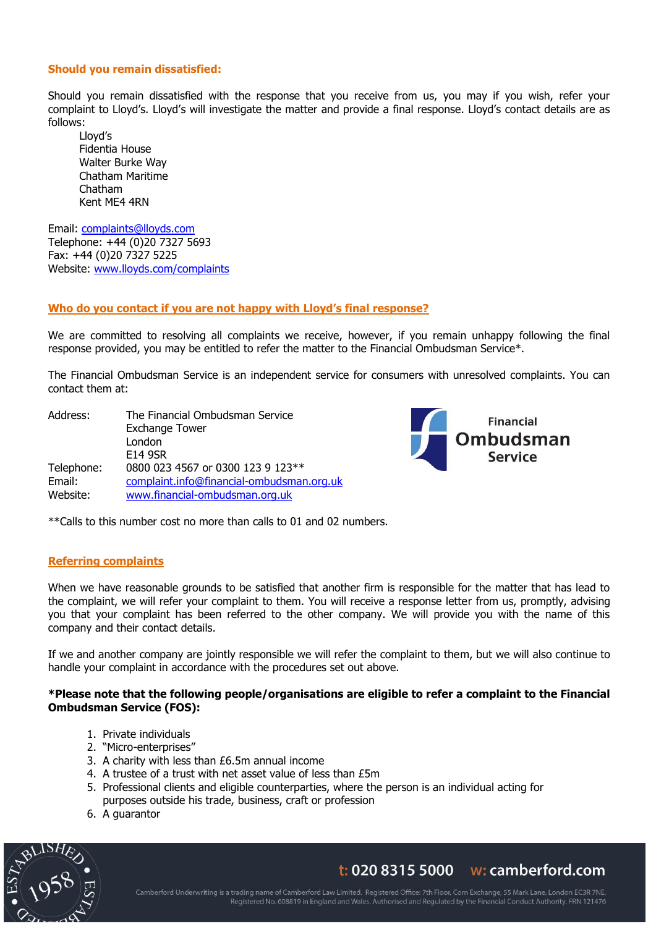#### **Should you remain dissatisfied:**

Should you remain dissatisfied with the response that you receive from us, you may if you wish, refer your complaint to Lloyd's. Lloyd's will investigate the matter and provide a final response. Lloyd's contact details are as follows:

Lloyd's Fidentia House Walter Burke Way Chatham Maritime Chatham Kent ME4 4RN

Email: [complaints@lloyds.com](mailto:complaints@lloyds.com) Telephone: +44 (0)20 7327 5693 Fax: +44 (0)20 7327 5225 Website: [www.lloyds.com/complaints](http://www.lloyds.com/complaints)

#### **Who do you contact if you are not happy with Lloyd's final response?**

We are committed to resolving all complaints we receive, however, if you remain unhappy following the final response provided, you may be entitled to refer the matter to the Financial Ombudsman Service\*.

The Financial Ombudsman Service is an independent service for consumers with unresolved complaints. You can contact them at:

| Address:   | The Financial Ombudsman Service           |
|------------|-------------------------------------------|
|            | <b>Exchange Tower</b>                     |
|            | London                                    |
|            | <b>E14 9SR</b>                            |
| Telephone: | 0800 023 4567 or 0300 123 9 123 **        |
| Email:     | complaint.info@financial-ombudsman.org.uk |
| Website:   | www.financial-ombudsman.org.uk            |



\*\*Calls to this number cost no more than calls to 01 and 02 numbers.

### **Referring complaints**

When we have reasonable grounds to be satisfied that another firm is responsible for the matter that has lead to the complaint, we will refer your complaint to them. You will receive a response letter from us, promptly, advising you that your complaint has been referred to the other company. We will provide you with the name of this company and their contact details.

If we and another company are jointly responsible we will refer the complaint to them, but we will also continue to handle your complaint in accordance with the procedures set out above.

#### **\*Please note that the following people/organisations are eligible to refer a complaint to the Financial Ombudsman Service (FOS):**

- 1. Private individuals
- 2. "Micro-enterprises"
- 3. A charity with less than £6.5m annual income
- 4. A trustee of a trust with net asset value of less than £5m
- 5. Professional clients and eligible counterparties, where the person is an individual acting for purposes outside his trade, business, craft or profession
- 6. A guarantor



Registered No. 608819 in England and Wales. Authorised and Regulated by the Financial Conduct Authority. FRN 121476